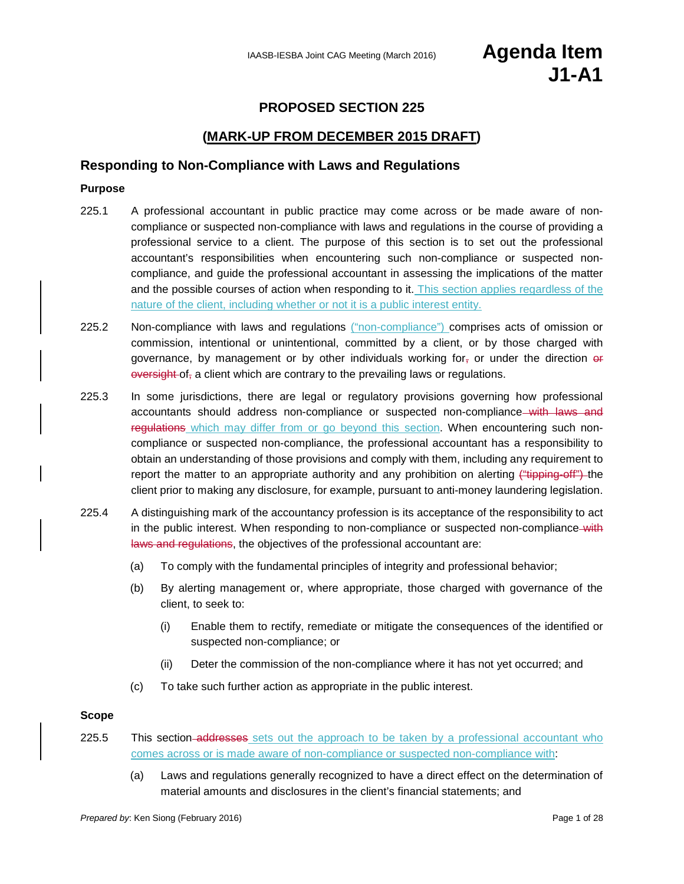# **PROPOSED SECTION 225**

## **(MARK-UP FROM DECEMBER 2015 DRAFT)**

### **Responding to Non-Compliance with Laws and Regulations**

#### **Purpose**

- 225.1 A professional accountant in public practice may come across or be made aware of noncompliance or suspected non-compliance with laws and regulations in the course of providing a professional service to a client. The purpose of this section is to set out the professional accountant's responsibilities when encountering such non-compliance or suspected noncompliance, and guide the professional accountant in assessing the implications of the matter and the possible courses of action when responding to it. This section applies regardless of the nature of the client, including whether or not it is a public interest entity.
- 225.2 Non-compliance with laws and regulations ("non-compliance") comprises acts of omission or commission, intentional or unintentional, committed by a client, or by those charged with governance, by management or by other individuals working for<sub> $\tau$ </sub> or under the direction or  $overight of<sub>7</sub>$  a client which are contrary to the prevailing laws or regulations.
- 225.3 In some jurisdictions, there are legal or regulatory provisions governing how professional accountants should address non-compliance or suspected non-compliance with laws and regulations which may differ from or go beyond this section. When encountering such noncompliance or suspected non-compliance, the professional accountant has a responsibility to obtain an understanding of those provisions and comply with them, including any requirement to report the matter to an appropriate authority and any prohibition on alerting  $\frac{\mu_{\text{t}}}{\mu_{\text{t}}}$  the client prior to making any disclosure, for example, pursuant to anti-money laundering legislation.
- 225.4 A distinguishing mark of the accountancy profession is its acceptance of the responsibility to act in the public interest. When responding to non-compliance or suspected non-compliance-with laws and regulations, the objectives of the professional accountant are:
	- (a) To comply with the fundamental principles of integrity and professional behavior;
	- (b) By alerting management or, where appropriate, those charged with governance of the client, to seek to:
		- (i) Enable them to rectify, remediate or mitigate the consequences of the identified or suspected non-compliance; or
		- (ii) Deter the commission of the non-compliance where it has not yet occurred; and
	- (c) To take such further action as appropriate in the public interest.

#### **Scope**

- 225.5 This section–addresses sets out the approach to be taken by a professional accountant who comes across or is made aware of non-compliance or suspected non-compliance with:
	- (a) Laws and regulations generally recognized to have a direct effect on the determination of material amounts and disclosures in the client's financial statements; and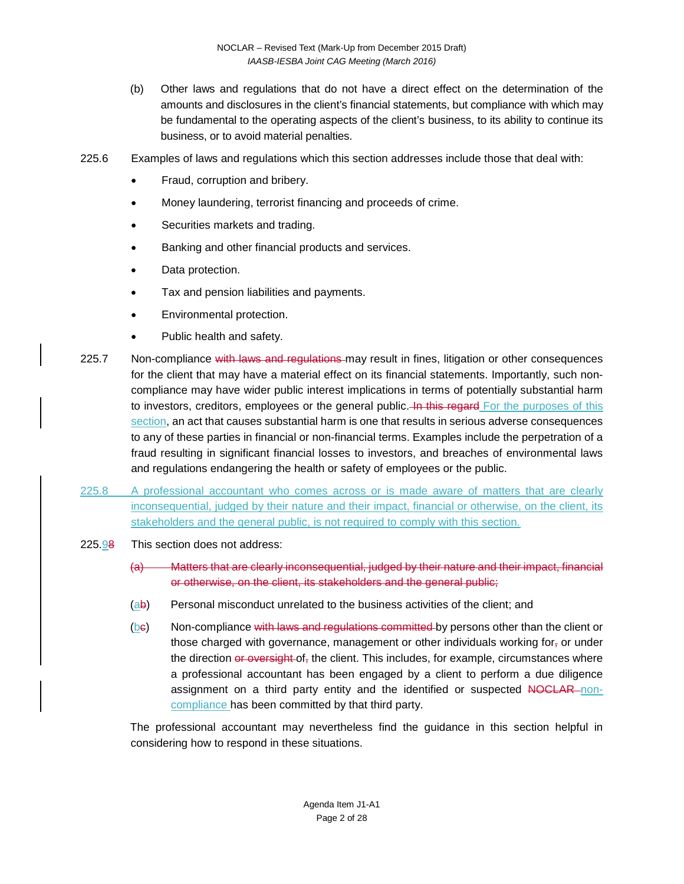- (b) Other laws and regulations that do not have a direct effect on the determination of the amounts and disclosures in the client's financial statements, but compliance with which may be fundamental to the operating aspects of the client's business, to its ability to continue its business, or to avoid material penalties.
- 225.6 Examples of laws and regulations which this section addresses include those that deal with:
	- Fraud, corruption and bribery.
	- Money laundering, terrorist financing and proceeds of crime.
	- Securities markets and trading.
	- Banking and other financial products and services.
	- Data protection.
	- Tax and pension liabilities and payments.
	- Environmental protection.
	- Public health and safety.
- 225.7 Non-compliance with laws and regulations may result in fines, litigation or other consequences for the client that may have a material effect on its financial statements. Importantly, such noncompliance may have wider public interest implications in terms of potentially substantial harm to investors, creditors, employees or the general public. In this regard For the purposes of this section, an act that causes substantial harm is one that results in serious adverse consequences to any of these parties in financial or non-financial terms. Examples include the perpetration of a fraud resulting in significant financial losses to investors, and breaches of environmental laws and regulations endangering the health or safety of employees or the public.
- 225.8 A professional accountant who comes across or is made aware of matters that are clearly inconsequential, judged by their nature and their impact, financial or otherwise, on the client, its stakeholders and the general public, is not required to comply with this section.
- 225.98 This section does not address:
	- (a) Matters that are clearly inconsequential, judged by their nature and their impact, financial or otherwise, on the client, its stakeholders and the general public;
	- (ab) Personal misconduct unrelated to the business activities of the client; and
	- (be) Non-compliance with laws and regulations committed by persons other than the client or those charged with governance, management or other individuals working for, or under the direction or oversight of<sub>r</sub> the client. This includes, for example, circumstances where a professional accountant has been engaged by a client to perform a due diligence assignment on a third party entity and the identified or suspected NOCLAR noncompliance has been committed by that third party.

The professional accountant may nevertheless find the guidance in this section helpful in considering how to respond in these situations.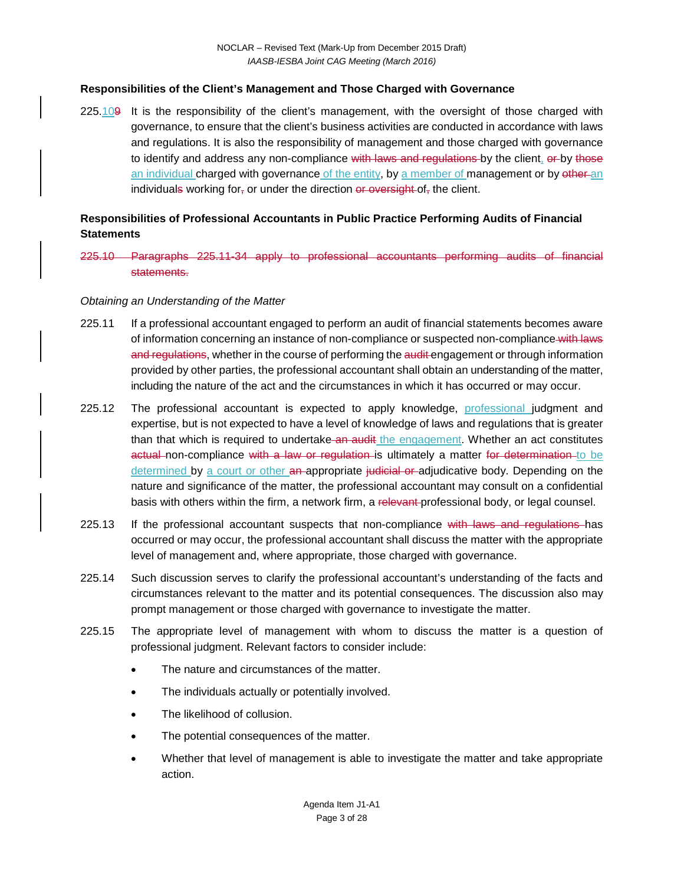## **Responsibilities of the Client's Management and Those Charged with Governance**

225.109 It is the responsibility of the client's management, with the oversight of those charged with governance, to ensure that the client's business activities are conducted in accordance with laws and regulations. It is also the responsibility of management and those charged with governance to identify and address any non-compliance with laws and regulations by the client, or by those an individual charged with governance of the entity, by a member of management or by other an individuals working for, or under the direction  $\rho r$  oversight of, the client.

## **Responsibilities of Professional Accountants in Public Practice Performing Audits of Financial Statements**

225.10 Paragraphs 225.11-34 apply to professional accountants performing audits of financial statements.

### *Obtaining an Understanding of the Matter*

- 225.11 If a professional accountant engaged to perform an audit of financial statements becomes aware of information concerning an instance of non-compliance or suspected non-compliance with laws and regulations, whether in the course of performing the audit engagement or through information provided by other parties, the professional accountant shall obtain an understanding of the matter, including the nature of the act and the circumstances in which it has occurred or may occur.
- 225.12 The professional accountant is expected to apply knowledge, professional judgment and expertise, but is not expected to have a level of knowledge of laws and regulations that is greater than that which is required to undertake an audit the engagement. Whether an act constitutes actual non-compliance with a law or regulation is ultimately a matter for determination to be determined by a court or other an appropriate judicial or adjudicative body. Depending on the nature and significance of the matter, the professional accountant may consult on a confidential basis with others within the firm, a network firm, a relevant-professional body, or legal counsel.
- 225.13 If the professional accountant suspects that non-compliance with laws and regulations has occurred or may occur, the professional accountant shall discuss the matter with the appropriate level of management and, where appropriate, those charged with governance.
- 225.14 Such discussion serves to clarify the professional accountant's understanding of the facts and circumstances relevant to the matter and its potential consequences. The discussion also may prompt management or those charged with governance to investigate the matter.
- 225.15 The appropriate level of management with whom to discuss the matter is a question of professional judgment. Relevant factors to consider include:
	- The nature and circumstances of the matter.
	- The individuals actually or potentially involved.
	- The likelihood of collusion.
	- The potential consequences of the matter.
	- Whether that level of management is able to investigate the matter and take appropriate action.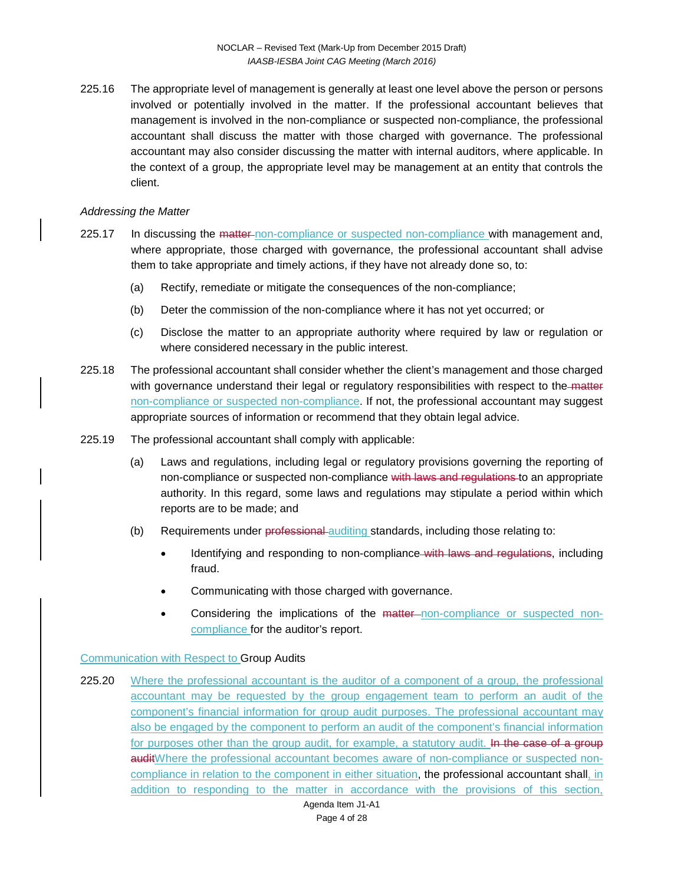225.16 The appropriate level of management is generally at least one level above the person or persons involved or potentially involved in the matter. If the professional accountant believes that management is involved in the non-compliance or suspected non-compliance, the professional accountant shall discuss the matter with those charged with governance. The professional accountant may also consider discussing the matter with internal auditors, where applicable. In the context of a group, the appropriate level may be management at an entity that controls the client.

#### *Addressing the Matter*

- 225.17 In discussing the matter-non-compliance or suspected non-compliance with management and, where appropriate, those charged with governance, the professional accountant shall advise them to take appropriate and timely actions, if they have not already done so, to:
	- (a) Rectify, remediate or mitigate the consequences of the non-compliance;
	- (b) Deter the commission of the non-compliance where it has not yet occurred; or
	- (c) Disclose the matter to an appropriate authority where required by law or regulation or where considered necessary in the public interest.
- 225.18 The professional accountant shall consider whether the client's management and those charged with governance understand their legal or regulatory responsibilities with respect to the matter non-compliance or suspected non-compliance. If not, the professional accountant may suggest appropriate sources of information or recommend that they obtain legal advice.
- 225.19 The professional accountant shall comply with applicable:
	- (a) Laws and regulations, including legal or regulatory provisions governing the reporting of non-compliance or suspected non-compliance with laws and regulations to an appropriate authority. In this regard, some laws and regulations may stipulate a period within which reports are to be made; and
	- (b) Requirements under professional auditing standards, including those relating to:
		- Identifying and responding to non-compliance with laws and regulations, including fraud.
		- Communicating with those charged with governance.
		- Considering the implications of the matter non-compliance or suspected noncompliance for the auditor's report.

#### Communication with Respect to Group Audits

225.20 Where the professional accountant is the auditor of a component of a group, the professional accountant may be requested by the group engagement team to perform an audit of the component's financial information for group audit purposes. The professional accountant may also be engaged by the component to perform an audit of the component's financial information for purposes other than the group audit, for example, a statutory audit. In the case of a group auditWhere the professional accountant becomes aware of non-compliance or suspected noncompliance in relation to the component in either situation, the professional accountant shall, in addition to responding to the matter in accordance with the provisions of this section,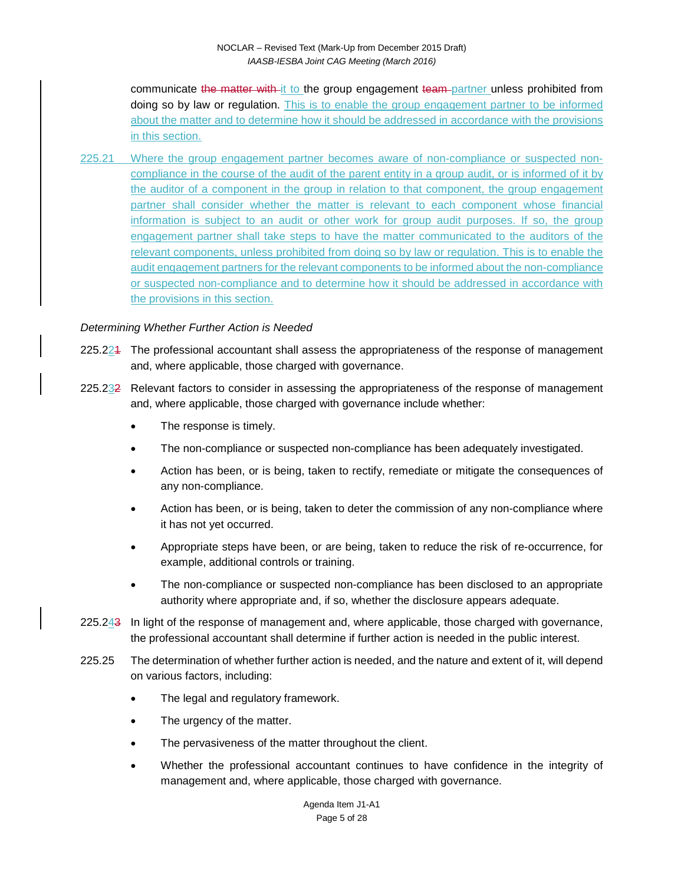communicate the matter with it to the group engagement team partner unless prohibited from doing so by law or regulation. This is to enable the group engagement partner to be informed about the matter and to determine how it should be addressed in accordance with the provisions in this section.

225.21 Where the group engagement partner becomes aware of non-compliance or suspected noncompliance in the course of the audit of the parent entity in a group audit, or is informed of it by the auditor of a component in the group in relation to that component, the group engagement partner shall consider whether the matter is relevant to each component whose financial information is subject to an audit or other work for group audit purposes. If so, the group engagement partner shall take steps to have the matter communicated to the auditors of the relevant components, unless prohibited from doing so by law or regulation. This is to enable the audit engagement partners for the relevant components to be informed about the non-compliance or suspected non-compliance and to determine how it should be addressed in accordance with the provisions in this section.

### *Determining Whether Further Action is Needed*

- 225.221 The professional accountant shall assess the appropriateness of the response of management and, where applicable, those charged with governance.
- 225.232 Relevant factors to consider in assessing the appropriateness of the response of management and, where applicable, those charged with governance include whether:
	- The response is timely.
	- The non-compliance or suspected non-compliance has been adequately investigated.
	- Action has been, or is being, taken to rectify, remediate or mitigate the consequences of any non-compliance.
	- Action has been, or is being, taken to deter the commission of any non-compliance where it has not yet occurred.
	- Appropriate steps have been, or are being, taken to reduce the risk of re-occurrence, for example, additional controls or training.
	- The non-compliance or suspected non-compliance has been disclosed to an appropriate authority where appropriate and, if so, whether the disclosure appears adequate.
- 225.243 In light of the response of management and, where applicable, those charged with governance, the professional accountant shall determine if further action is needed in the public interest.
- 225.25 The determination of whether further action is needed, and the nature and extent of it, will depend on various factors, including:
	- The legal and regulatory framework.
	- The urgency of the matter.
	- The pervasiveness of the matter throughout the client.
	- Whether the professional accountant continues to have confidence in the integrity of management and, where applicable, those charged with governance.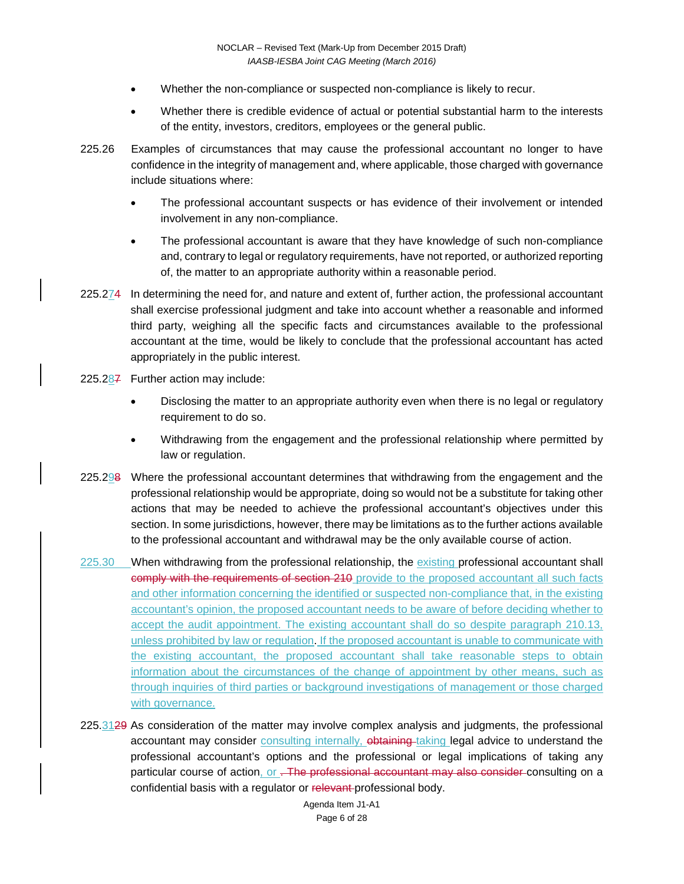- Whether the non-compliance or suspected non-compliance is likely to recur.
- Whether there is credible evidence of actual or potential substantial harm to the interests of the entity, investors, creditors, employees or the general public.
- 225.26 Examples of circumstances that may cause the professional accountant no longer to have confidence in the integrity of management and, where applicable, those charged with governance include situations where:
	- The professional accountant suspects or has evidence of their involvement or intended involvement in any non-compliance.
	- The professional accountant is aware that they have knowledge of such non-compliance and, contrary to legal or regulatory requirements, have not reported, or authorized reporting of, the matter to an appropriate authority within a reasonable period.
- 225.274 In determining the need for, and nature and extent of, further action, the professional accountant shall exercise professional judgment and take into account whether a reasonable and informed third party, weighing all the specific facts and circumstances available to the professional accountant at the time, would be likely to conclude that the professional accountant has acted appropriately in the public interest.
- 225.287 Further action may include:
	- Disclosing the matter to an appropriate authority even when there is no legal or regulatory requirement to do so.
	- Withdrawing from the engagement and the professional relationship where permitted by law or regulation.
- 225.298 Where the professional accountant determines that withdrawing from the engagement and the professional relationship would be appropriate, doing so would not be a substitute for taking other actions that may be needed to achieve the professional accountant's objectives under this section. In some jurisdictions, however, there may be limitations as to the further actions available to the professional accountant and withdrawal may be the only available course of action.
- 225.30 When withdrawing from the professional relationship, the existing professional accountant shall comply with the requirements of section 210 provide to the proposed accountant all such facts and other information concerning the identified or suspected non-compliance that, in the existing accountant's opinion, the proposed accountant needs to be aware of before deciding whether to accept the audit appointment. The existing accountant shall do so despite paragraph 210.13, unless prohibited by law or regulation. If the proposed accountant is unable to communicate with the existing accountant, the proposed accountant shall take reasonable steps to obtain information about the circumstances of the change of appointment by other means, such as through inquiries of third parties or background investigations of management or those charged with governance.
- 225.3129 As consideration of the matter may involve complex analysis and judgments, the professional accountant may consider consulting internally, obtaining taking legal advice to understand the professional accountant's options and the professional or legal implications of taking any particular course of action, or . The professional accountant may also consider consulting on a confidential basis with a regulator or relevant professional body.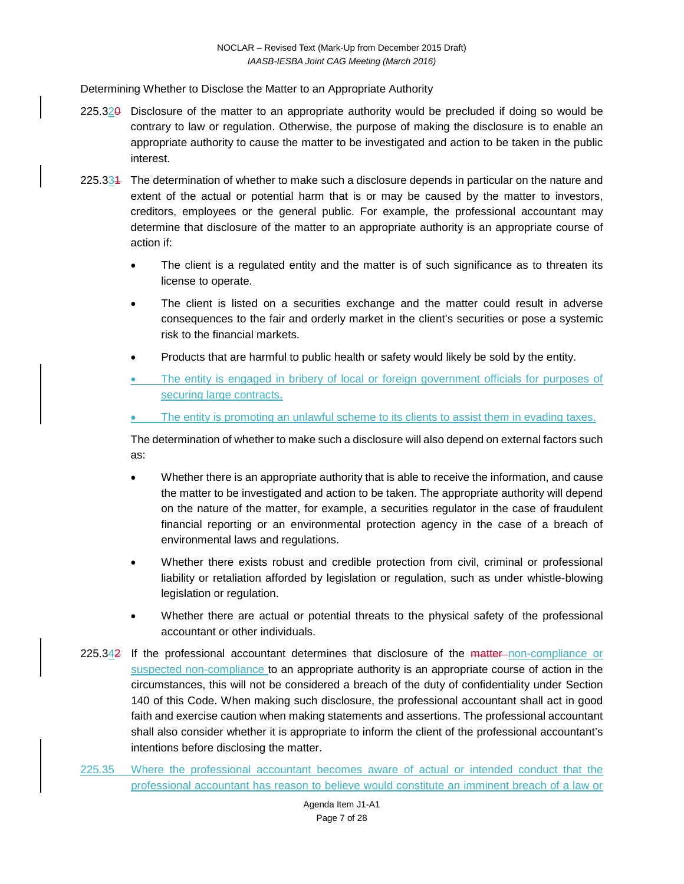Determining Whether to Disclose the Matter to an Appropriate Authority

- 225.320 Disclosure of the matter to an appropriate authority would be precluded if doing so would be contrary to law or regulation. Otherwise, the purpose of making the disclosure is to enable an appropriate authority to cause the matter to be investigated and action to be taken in the public interest.
- 225.331 The determination of whether to make such a disclosure depends in particular on the nature and extent of the actual or potential harm that is or may be caused by the matter to investors, creditors, employees or the general public. For example, the professional accountant may determine that disclosure of the matter to an appropriate authority is an appropriate course of action if:
	- The client is a regulated entity and the matter is of such significance as to threaten its license to operate.
	- The client is listed on a securities exchange and the matter could result in adverse consequences to the fair and orderly market in the client's securities or pose a systemic risk to the financial markets.
	- Products that are harmful to public health or safety would likely be sold by the entity.
	- The entity is engaged in bribery of local or foreign government officials for purposes of securing large contracts.
	- The entity is promoting an unlawful scheme to its clients to assist them in evading taxes.

The determination of whether to make such a disclosure will also depend on external factors such as:

- Whether there is an appropriate authority that is able to receive the information, and cause the matter to be investigated and action to be taken. The appropriate authority will depend on the nature of the matter, for example, a securities regulator in the case of fraudulent financial reporting or an environmental protection agency in the case of a breach of environmental laws and regulations.
- Whether there exists robust and credible protection from civil, criminal or professional liability or retaliation afforded by legislation or regulation, such as under whistle-blowing legislation or regulation.
- Whether there are actual or potential threats to the physical safety of the professional accountant or other individuals.
- 225.342 If the professional accountant determines that disclosure of the matter-non-compliance or suspected non-compliance to an appropriate authority is an appropriate course of action in the circumstances, this will not be considered a breach of the duty of confidentiality under Section 140 of this Code. When making such disclosure, the professional accountant shall act in good faith and exercise caution when making statements and assertions. The professional accountant shall also consider whether it is appropriate to inform the client of the professional accountant's intentions before disclosing the matter.
- 225.35 Where the professional accountant becomes aware of actual or intended conduct that the professional accountant has reason to believe would constitute an imminent breach of a law or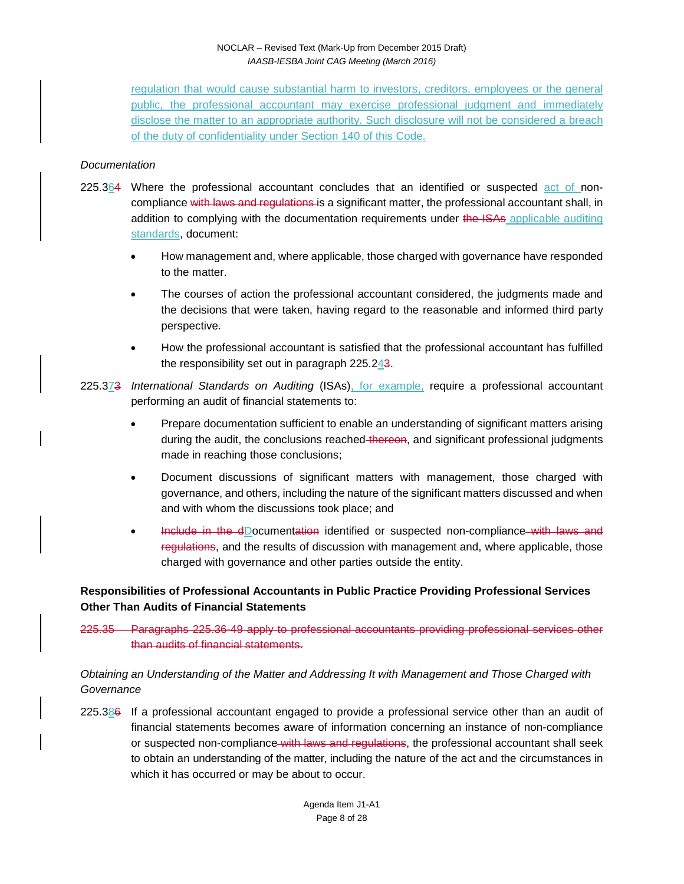#### NOCLAR – Revised Text (Mark-Up from December 2015 Draft) *IAASB-IESBA Joint CAG Meeting (March 2016)*

regulation that would cause substantial harm to investors, creditors, employees or the general public, the professional accountant may exercise professional judgment and immediately disclose the matter to an appropriate authority. Such disclosure will not be considered a breach of the duty of confidentiality under Section 140 of this Code.

### *Documentation*

- 225.364 Where the professional accountant concludes that an identified or suspected act of noncompliance with laws and regulations is a significant matter, the professional accountant shall, in addition to complying with the documentation requirements under the ISAs applicable auditing standards, document:
	- How management and, where applicable, those charged with governance have responded to the matter.
	- The courses of action the professional accountant considered, the judgments made and the decisions that were taken, having regard to the reasonable and informed third party perspective.
	- How the professional accountant is satisfied that the professional accountant has fulfilled the responsibility set out in paragraph 225.243.
- 225.373 *International Standards on Auditing* (ISAs), for example, require a professional accountant performing an audit of financial statements to:
	- Prepare documentation sufficient to enable an understanding of significant matters arising during the audit, the conclusions reached thereon, and significant professional judgments made in reaching those conclusions;
	- Document discussions of significant matters with management, those charged with governance, and others, including the nature of the significant matters discussed and when and with whom the discussions took place; and
	- Include in the dDocumentation identified or suspected non-compliance with laws and regulations, and the results of discussion with management and, where applicable, those charged with governance and other parties outside the entity.

## **Responsibilities of Professional Accountants in Public Practice Providing Professional Services Other Than Audits of Financial Statements**

225.35 Paragraphs 225.36-49 apply to professional accountants providing professional services other than audits of financial statements.

## *Obtaining an Understanding of the Matter and Addressing It with Management and Those Charged with Governance*

225.386 If a professional accountant engaged to provide a professional service other than an audit of financial statements becomes aware of information concerning an instance of non-compliance or suspected non-compliance with laws and regulations, the professional accountant shall seek to obtain an understanding of the matter, including the nature of the act and the circumstances in which it has occurred or may be about to occur.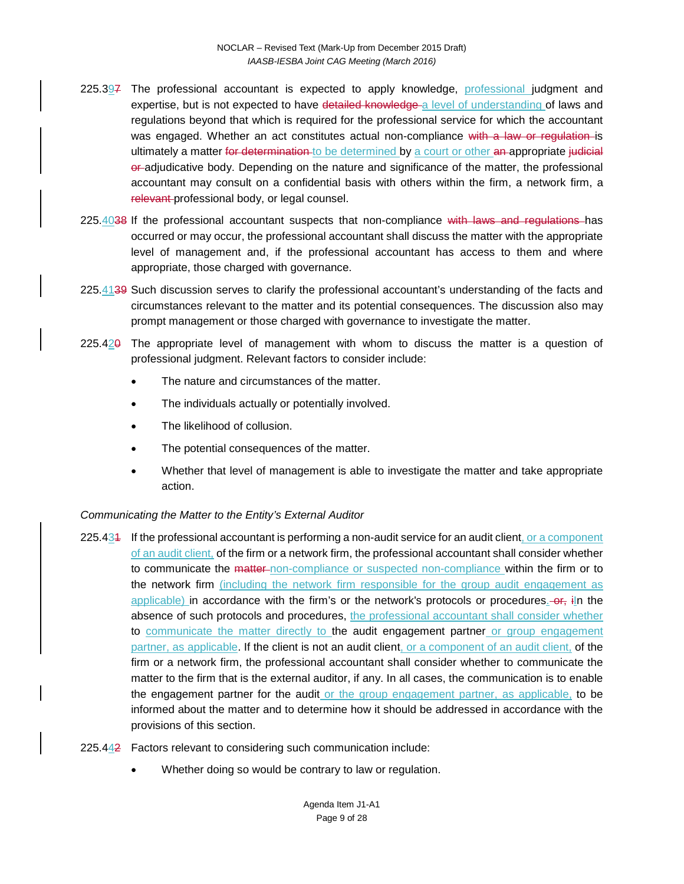- 225.397 The professional accountant is expected to apply knowledge, professional judgment and expertise, but is not expected to have detailed knowledge a level of understanding of laws and regulations beyond that which is required for the professional service for which the accountant was engaged. Whether an act constitutes actual non-compliance with a law or regulation is ultimately a matter for determination to be determined by a court or other an appropriate judicial or-adjudicative body. Depending on the nature and significance of the matter, the professional accountant may consult on a confidential basis with others within the firm, a network firm, a relevant professional body, or legal counsel.
- 225.4038 If the professional accountant suspects that non-compliance with laws and regulations has occurred or may occur, the professional accountant shall discuss the matter with the appropriate level of management and, if the professional accountant has access to them and where appropriate, those charged with governance.
- 225.4139 Such discussion serves to clarify the professional accountant's understanding of the facts and circumstances relevant to the matter and its potential consequences. The discussion also may prompt management or those charged with governance to investigate the matter.
- 225.420 The appropriate level of management with whom to discuss the matter is a question of professional judgment. Relevant factors to consider include:
	- The nature and circumstances of the matter.
	- The individuals actually or potentially involved.
	- The likelihood of collusion.
	- The potential consequences of the matter.
	- Whether that level of management is able to investigate the matter and take appropriate action.

#### *Communicating the Matter to the Entity's External Auditor*

- 225.434 If the professional accountant is performing a non-audit service for an audit client, or a component of an audit client, of the firm or a network firm, the professional accountant shall consider whether to communicate the matter non-compliance or suspected non-compliance within the firm or to the network firm (including the network firm responsible for the group audit engagement as applicable) in accordance with the firm's or the network's protocols or procedures.  $-6r$ , in the absence of such protocols and procedures, the professional accountant shall consider whether to communicate the matter directly to the audit engagement partner or group engagement partner, as applicable. If the client is not an audit client, or a component of an audit client, of the firm or a network firm, the professional accountant shall consider whether to communicate the matter to the firm that is the external auditor, if any. In all cases, the communication is to enable the engagement partner for the audit or the group engagement partner, as applicable, to be informed about the matter and to determine how it should be addressed in accordance with the provisions of this section.
- 225.442 Factors relevant to considering such communication include:
	- Whether doing so would be contrary to law or regulation.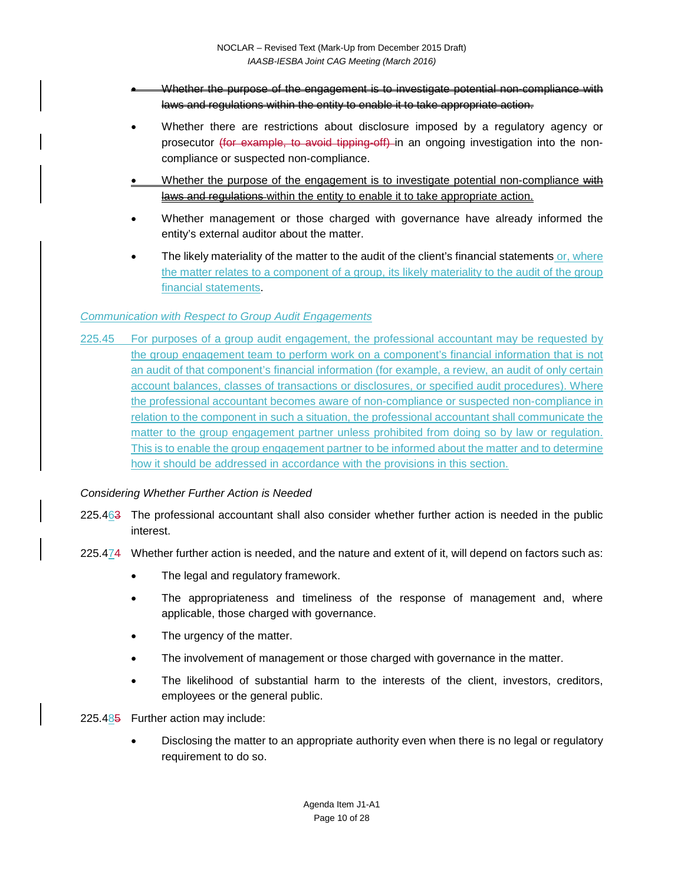- Whether the purpose of the engagement is to investigate potential non-compliance with laws and regulations within the entity to enable it to take appropriate action.
- Whether there are restrictions about disclosure imposed by a regulatory agency or prosecutor (for example, to avoid tipping-off) in an ongoing investigation into the noncompliance or suspected non-compliance.
- Whether the purpose of the engagement is to investigate potential non-compliance with laws and regulations within the entity to enable it to take appropriate action.
- Whether management or those charged with governance have already informed the entity's external auditor about the matter.
- The likely materiality of the matter to the audit of the client's financial statements or, where the matter relates to a component of a group, its likely materiality to the audit of the group financial statements.

### *Communication with Respect to Group Audit Engagements*

225.45 For purposes of a group audit engagement, the professional accountant may be requested by the group engagement team to perform work on a component's financial information that is not an audit of that component's financial information (for example, a review, an audit of only certain account balances, classes of transactions or disclosures, or specified audit procedures). Where the professional accountant becomes aware of non-compliance or suspected non-compliance in relation to the component in such a situation, the professional accountant shall communicate the matter to the group engagement partner unless prohibited from doing so by law or regulation. This is to enable the group engagement partner to be informed about the matter and to determine how it should be addressed in accordance with the provisions in this section.

#### *Considering Whether Further Action is Needed*

- 225.463 The professional accountant shall also consider whether further action is needed in the public interest.
- 225.474 Whether further action is needed, and the nature and extent of it, will depend on factors such as:
	- The legal and regulatory framework.
	- The appropriateness and timeliness of the response of management and, where applicable, those charged with governance.
	- The urgency of the matter.
	- The involvement of management or those charged with governance in the matter.
	- The likelihood of substantial harm to the interests of the client, investors, creditors, employees or the general public.

#### 225.485 Further action may include:

• Disclosing the matter to an appropriate authority even when there is no legal or regulatory requirement to do so.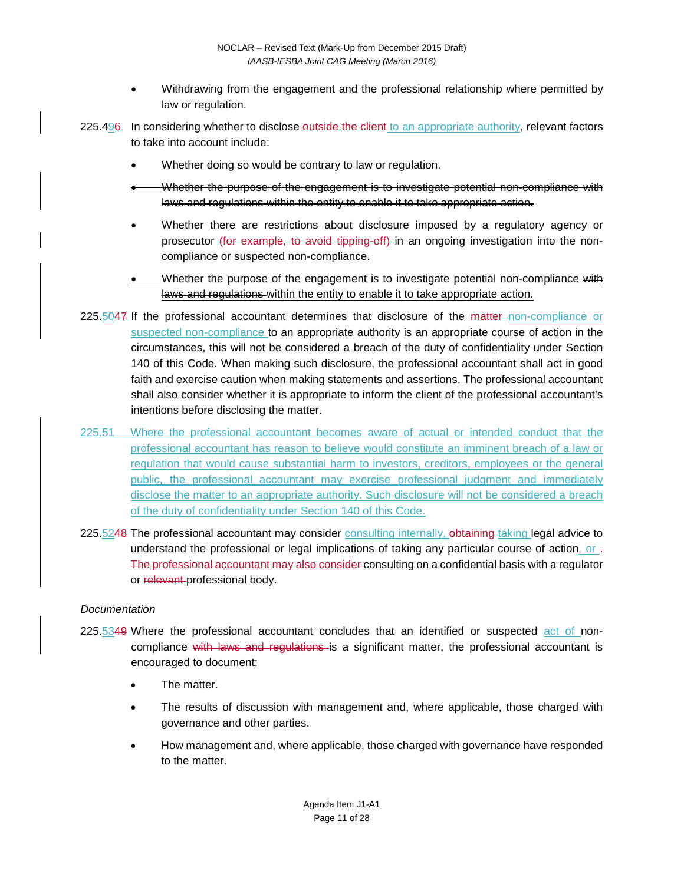- Withdrawing from the engagement and the professional relationship where permitted by law or regulation.
- 225.496 In considering whether to disclose outside the client to an appropriate authority, relevant factors to take into account include:
	- Whether doing so would be contrary to law or regulation.
	- Whether the purpose of the engagement is to investigate potential non-compliance with laws and regulations within the entity to enable it to take appropriate action.
	- Whether there are restrictions about disclosure imposed by a regulatory agency or prosecutor (for example, to avoid tipping-off) in an ongoing investigation into the noncompliance or suspected non-compliance.
	- Whether the purpose of the engagement is to investigate potential non-compliance with laws and regulations within the entity to enable it to take appropriate action.
- 225.5047 If the professional accountant determines that disclosure of the matter-non-compliance or suspected non-compliance to an appropriate authority is an appropriate course of action in the circumstances, this will not be considered a breach of the duty of confidentiality under Section 140 of this Code. When making such disclosure, the professional accountant shall act in good faith and exercise caution when making statements and assertions. The professional accountant shall also consider whether it is appropriate to inform the client of the professional accountant's intentions before disclosing the matter.
- 225.51 Where the professional accountant becomes aware of actual or intended conduct that the professional accountant has reason to believe would constitute an imminent breach of a law or regulation that would cause substantial harm to investors, creditors, employees or the general public, the professional accountant may exercise professional judgment and immediately disclose the matter to an appropriate authority. Such disclosure will not be considered a breach of the duty of confidentiality under Section 140 of this Code.
- 225.5248 The professional accountant may consider consulting internally, obtaining taking legal advice to understand the professional or legal implications of taking any particular course of action, or -The professional accountant may also consider consulting on a confidential basis with a regulator or relevant professional body.

#### *Documentation*

- 225.5349 Where the professional accountant concludes that an identified or suspected act of noncompliance with laws and regulations is a significant matter, the professional accountant is encouraged to document:
	- The matter.
	- The results of discussion with management and, where applicable, those charged with governance and other parties.
	- How management and, where applicable, those charged with governance have responded to the matter.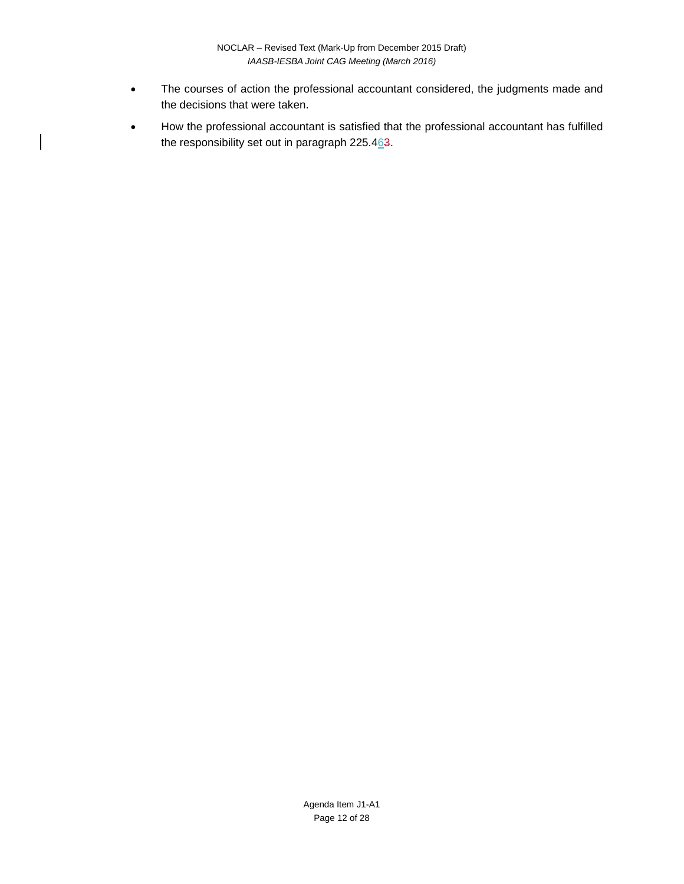- The courses of action the professional accountant considered, the judgments made and the decisions that were taken.
- How the professional accountant is satisfied that the professional accountant has fulfilled the responsibility set out in paragraph 225.463.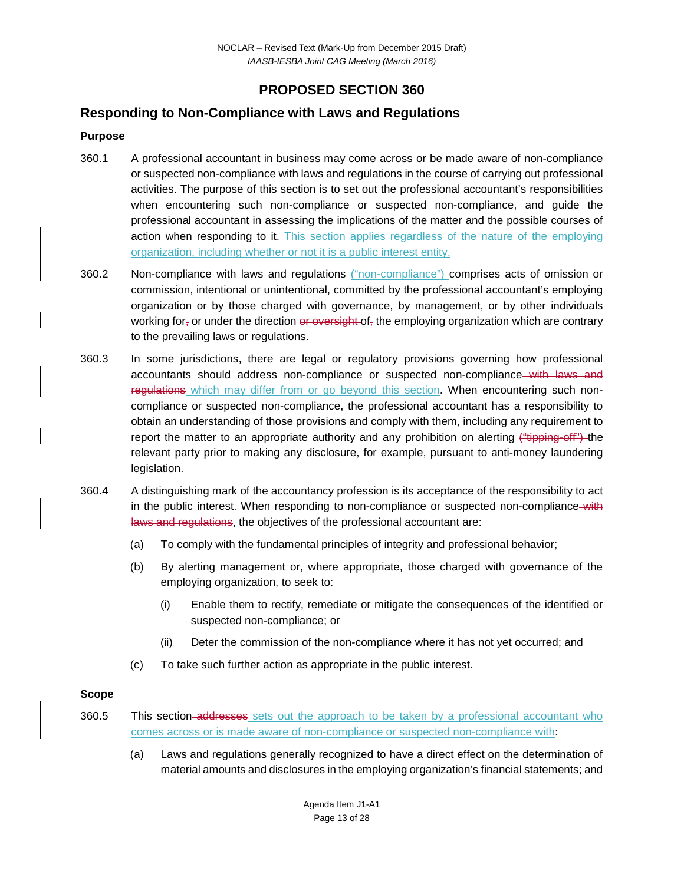# **PROPOSED SECTION 360**

# **Responding to Non-Compliance with Laws and Regulations**

### **Purpose**

- 360.1 A professional accountant in business may come across or be made aware of non-compliance or suspected non-compliance with laws and regulations in the course of carrying out professional activities. The purpose of this section is to set out the professional accountant's responsibilities when encountering such non-compliance or suspected non-compliance, and guide the professional accountant in assessing the implications of the matter and the possible courses of action when responding to it. This section applies regardless of the nature of the employing organization, including whether or not it is a public interest entity.
- 360.2 Non-compliance with laws and regulations ("non-compliance") comprises acts of omission or commission, intentional or unintentional, committed by the professional accountant's employing organization or by those charged with governance, by management, or by other individuals working for<sub>r</sub> or under the direction or oversight of  $_7$  the employing organization which are contrary to the prevailing laws or regulations.
- 360.3 In some jurisdictions, there are legal or regulatory provisions governing how professional accountants should address non-compliance or suspected non-compliance with laws and regulations which may differ from or go beyond this section. When encountering such noncompliance or suspected non-compliance, the professional accountant has a responsibility to obtain an understanding of those provisions and comply with them, including any requirement to report the matter to an appropriate authority and any prohibition on alerting ("tipping-off") the relevant party prior to making any disclosure, for example, pursuant to anti-money laundering legislation.
- 360.4 A distinguishing mark of the accountancy profession is its acceptance of the responsibility to act in the public interest. When responding to non-compliance or suspected non-compliance-with laws and regulations, the objectives of the professional accountant are:
	- (a) To comply with the fundamental principles of integrity and professional behavior;
	- (b) By alerting management or, where appropriate, those charged with governance of the employing organization, to seek to:
		- (i) Enable them to rectify, remediate or mitigate the consequences of the identified or suspected non-compliance; or
		- (ii) Deter the commission of the non-compliance where it has not yet occurred; and
	- (c) To take such further action as appropriate in the public interest.

#### **Scope**

- **360.5** This section–addresses sets out the approach to be taken by a professional accountant who comes across or is made aware of non-compliance or suspected non-compliance with:
	- (a) Laws and regulations generally recognized to have a direct effect on the determination of material amounts and disclosures in the employing organization's financial statements; and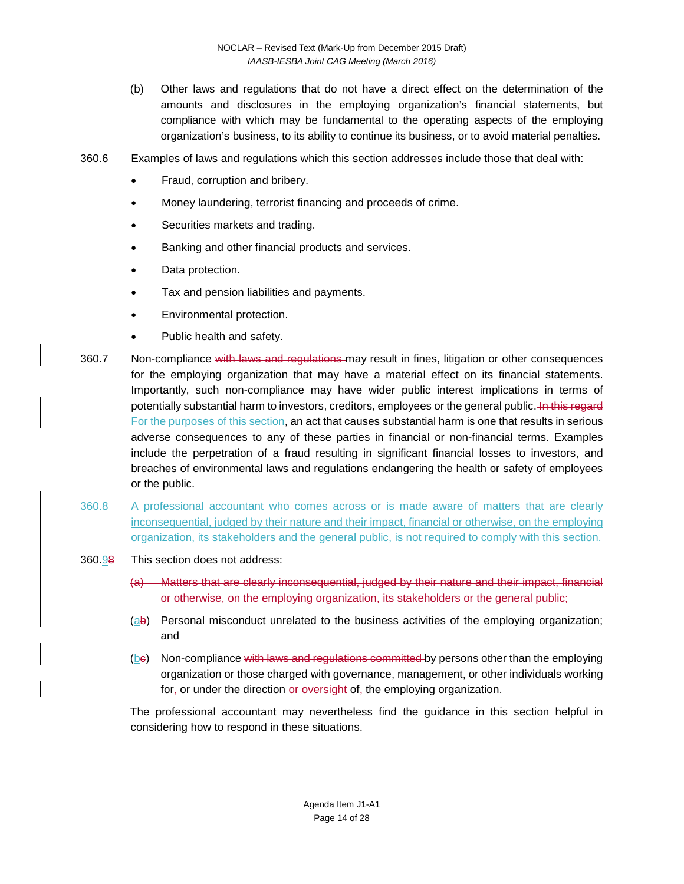- (b) Other laws and regulations that do not have a direct effect on the determination of the amounts and disclosures in the employing organization's financial statements, but compliance with which may be fundamental to the operating aspects of the employing organization's business, to its ability to continue its business, or to avoid material penalties.
- 360.6 Examples of laws and regulations which this section addresses include those that deal with:
	- Fraud, corruption and bribery.
	- Money laundering, terrorist financing and proceeds of crime.
	- Securities markets and trading.
	- Banking and other financial products and services.
	- Data protection.
	- Tax and pension liabilities and payments.
	- Environmental protection.
	- Public health and safety.
- 360.7 Non-compliance with laws and regulations may result in fines, litigation or other consequences for the employing organization that may have a material effect on its financial statements. Importantly, such non-compliance may have wider public interest implications in terms of potentially substantial harm to investors, creditors, employees or the general public. In this regard For the purposes of this section, an act that causes substantial harm is one that results in serious adverse consequences to any of these parties in financial or non-financial terms. Examples include the perpetration of a fraud resulting in significant financial losses to investors, and breaches of environmental laws and regulations endangering the health or safety of employees or the public.
- 360.8 A professional accountant who comes across or is made aware of matters that are clearly inconsequential, judged by their nature and their impact, financial or otherwise, on the employing organization, its stakeholders and the general public, is not required to comply with this section.
- 360.98 This section does not address:
	- (a) Matters that are clearly inconsequential, judged by their nature and their impact, financial or otherwise, on the employing organization, its stakeholders or the general public;
	- (ab) Personal misconduct unrelated to the business activities of the employing organization; and
	- (be) Non-compliance with laws and regulations committed by persons other than the employing organization or those charged with governance, management, or other individuals working for<sub> $\tau$ </sub> or under the direction or oversight of, the employing organization.

The professional accountant may nevertheless find the guidance in this section helpful in considering how to respond in these situations.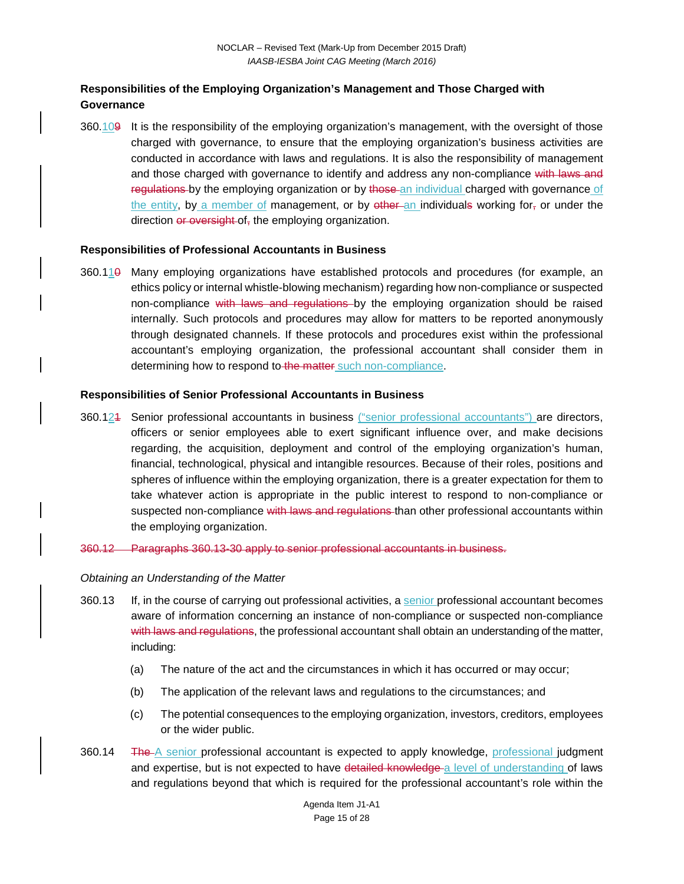# **Responsibilities of the Employing Organization's Management and Those Charged with Governance**

360.109 It is the responsibility of the employing organization's management, with the oversight of those charged with governance, to ensure that the employing organization's business activities are conducted in accordance with laws and regulations. It is also the responsibility of management and those charged with governance to identify and address any non-compliance with laws and regulations by the employing organization or by those an individual charged with governance of the entity, by a member of management, or by other an individuals working for<sub> $\tau$ </sub> or under the direction or oversight of, the employing organization.

### **Responsibilities of Professional Accountants in Business**

360.110 Many employing organizations have established protocols and procedures (for example, an ethics policy or internal whistle-blowing mechanism) regarding how non-compliance or suspected non-compliance with laws and regulations by the employing organization should be raised internally. Such protocols and procedures may allow for matters to be reported anonymously through designated channels. If these protocols and procedures exist within the professional accountant's employing organization, the professional accountant shall consider them in determining how to respond to the matter such non-compliance.

### **Responsibilities of Senior Professional Accountants in Business**

360.121 Senior professional accountants in business ("senior professional accountants") are directors, officers or senior employees able to exert significant influence over, and make decisions regarding, the acquisition, deployment and control of the employing organization's human, financial, technological, physical and intangible resources. Because of their roles, positions and spheres of influence within the employing organization, there is a greater expectation for them to take whatever action is appropriate in the public interest to respond to non-compliance or suspected non-compliance with laws and regulations than other professional accountants within the employing organization.

#### 360.12 Paragraphs 360.13-30 apply to senior professional accountants in business.

#### *Obtaining an Understanding of the Matter*

- 360.13 If, in the course of carrying out professional activities, a senior professional accountant becomes aware of information concerning an instance of non-compliance or suspected non-compliance with laws and regulations, the professional accountant shall obtain an understanding of the matter, including:
	- (a) The nature of the act and the circumstances in which it has occurred or may occur;
	- (b) The application of the relevant laws and regulations to the circumstances; and
	- (c) The potential consequences to the employing organization, investors, creditors, employees or the wider public.
- 360.14 The A senior professional accountant is expected to apply knowledge, professional judgment and expertise, but is not expected to have detailed knowledge a level of understanding of laws and regulations beyond that which is required for the professional accountant's role within the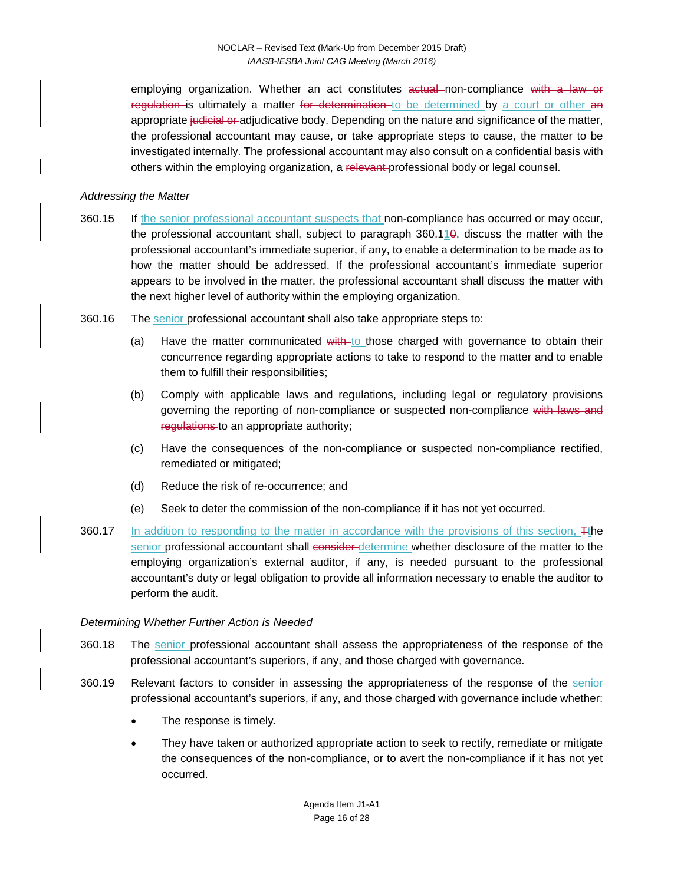employing organization. Whether an act constitutes actual non-compliance with a law or regulation is ultimately a matter for determination to be determined by a court or other an appropriate judicial or adjudicative body. Depending on the nature and significance of the matter, the professional accountant may cause, or take appropriate steps to cause, the matter to be investigated internally. The professional accountant may also consult on a confidential basis with others within the employing organization, a relevant-professional body or legal counsel.

## *Addressing the Matter*

- 360.15 If the senior professional accountant suspects that non-compliance has occurred or may occur, the professional accountant shall, subject to paragraph 360.110, discuss the matter with the professional accountant's immediate superior, if any, to enable a determination to be made as to how the matter should be addressed. If the professional accountant's immediate superior appears to be involved in the matter, the professional accountant shall discuss the matter with the next higher level of authority within the employing organization.
- 360.16 The senior professional accountant shall also take appropriate steps to:
	- (a) Have the matter communicated  $\frac{with-t}{dt}$  those charged with governance to obtain their concurrence regarding appropriate actions to take to respond to the matter and to enable them to fulfill their responsibilities;
	- (b) Comply with applicable laws and regulations, including legal or regulatory provisions governing the reporting of non-compliance or suspected non-compliance with laws and regulations to an appropriate authority;
	- (c) Have the consequences of the non-compliance or suspected non-compliance rectified, remediated or mitigated;
	- (d) Reduce the risk of re-occurrence; and
	- (e) Seek to deter the commission of the non-compliance if it has not yet occurred.
- 360.17 In addition to responding to the matter in accordance with the provisions of this section,  $\pm$ the senior professional accountant shall consider determine whether disclosure of the matter to the employing organization's external auditor, if any, is needed pursuant to the professional accountant's duty or legal obligation to provide all information necessary to enable the auditor to perform the audit.

#### *Determining Whether Further Action is Needed*

- 360.18 The senior professional accountant shall assess the appropriateness of the response of the professional accountant's superiors, if any, and those charged with governance.
- 360.19 Relevant factors to consider in assessing the appropriateness of the response of the senior professional accountant's superiors, if any, and those charged with governance include whether:
	- The response is timely.
	- They have taken or authorized appropriate action to seek to rectify, remediate or mitigate the consequences of the non-compliance, or to avert the non-compliance if it has not yet occurred.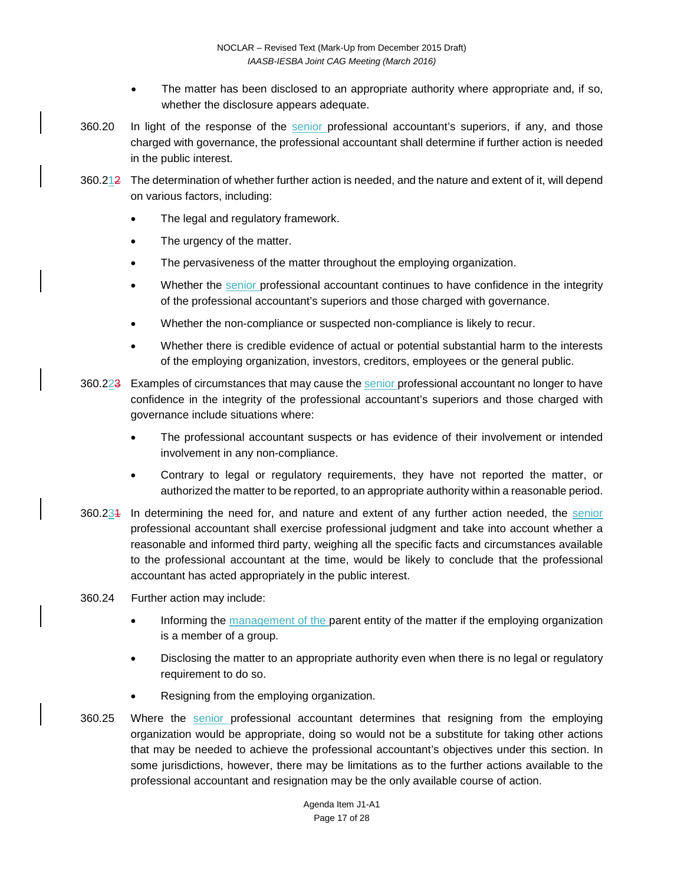- The matter has been disclosed to an appropriate authority where appropriate and, if so, whether the disclosure appears adequate.
- 360.20 In light of the response of the senior professional accountant's superiors, if any, and those charged with governance, the professional accountant shall determine if further action is needed in the public interest.
- 360.212 The determination of whether further action is needed, and the nature and extent of it, will depend on various factors, including:
	- The legal and regulatory framework.
	- The urgency of the matter.
	- The pervasiveness of the matter throughout the employing organization.
	- Whether the senior professional accountant continues to have confidence in the integrity of the professional accountant's superiors and those charged with governance.
	- Whether the non-compliance or suspected non-compliance is likely to recur.
	- Whether there is credible evidence of actual or potential substantial harm to the interests of the employing organization, investors, creditors, employees or the general public.
- 360.223 Examples of circumstances that may cause the senior professional accountant no longer to have confidence in the integrity of the professional accountant's superiors and those charged with governance include situations where:
	- The professional accountant suspects or has evidence of their involvement or intended involvement in any non-compliance.
	- Contrary to legal or regulatory requirements, they have not reported the matter, or authorized the matter to be reported, to an appropriate authority within a reasonable period.
- 360.231 In determining the need for, and nature and extent of any further action needed, the senior professional accountant shall exercise professional judgment and take into account whether a reasonable and informed third party, weighing all the specific facts and circumstances available to the professional accountant at the time, would be likely to conclude that the professional accountant has acted appropriately in the public interest.
- 360.24 Further action may include:
	- Informing the management of the parent entity of the matter if the employing organization is a member of a group.
	- Disclosing the matter to an appropriate authority even when there is no legal or regulatory requirement to do so.
	- Resigning from the employing organization.
- 360.25 Where the senior professional accountant determines that resigning from the employing organization would be appropriate, doing so would not be a substitute for taking other actions that may be needed to achieve the professional accountant's objectives under this section. In some jurisdictions, however, there may be limitations as to the further actions available to the professional accountant and resignation may be the only available course of action.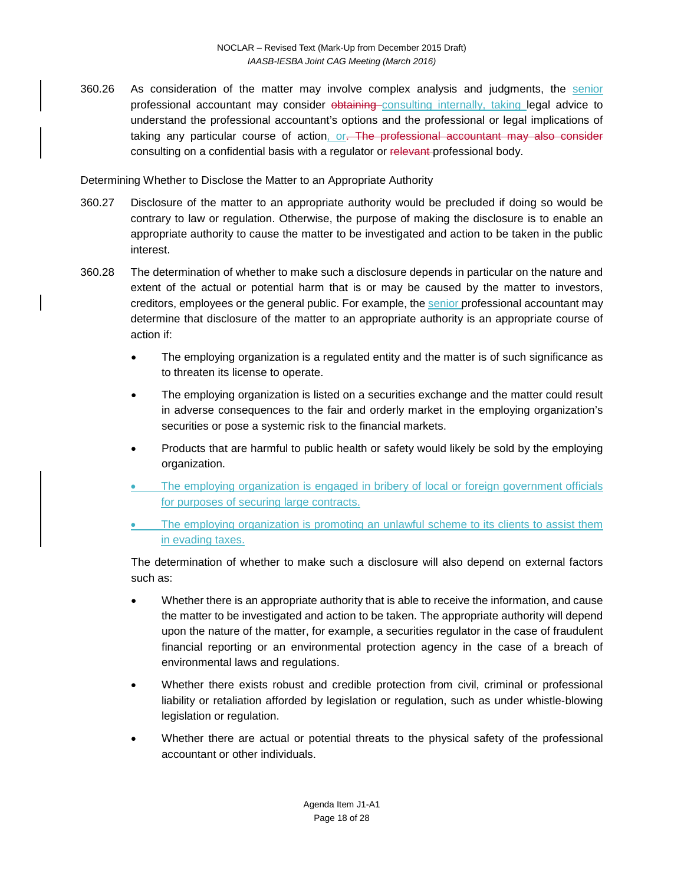360.26 As consideration of the matter may involve complex analysis and judgments, the senior professional accountant may consider obtaining consulting internally, taking legal advice to understand the professional accountant's options and the professional or legal implications of taking any particular course of action, or. The professional accountant may also consider consulting on a confidential basis with a regulator or relevant professional body.

Determining Whether to Disclose the Matter to an Appropriate Authority

- 360.27 Disclosure of the matter to an appropriate authority would be precluded if doing so would be contrary to law or regulation. Otherwise, the purpose of making the disclosure is to enable an appropriate authority to cause the matter to be investigated and action to be taken in the public interest.
- 360.28 The determination of whether to make such a disclosure depends in particular on the nature and extent of the actual or potential harm that is or may be caused by the matter to investors, creditors, employees or the general public. For example, the senior professional accountant may determine that disclosure of the matter to an appropriate authority is an appropriate course of action if:
	- The employing organization is a regulated entity and the matter is of such significance as to threaten its license to operate.
	- The employing organization is listed on a securities exchange and the matter could result in adverse consequences to the fair and orderly market in the employing organization's securities or pose a systemic risk to the financial markets.
	- Products that are harmful to public health or safety would likely be sold by the employing organization.
	- The employing organization is engaged in bribery of local or foreign government officials for purposes of securing large contracts.
	- The employing organization is promoting an unlawful scheme to its clients to assist them in evading taxes.

The determination of whether to make such a disclosure will also depend on external factors such as:

- Whether there is an appropriate authority that is able to receive the information, and cause the matter to be investigated and action to be taken. The appropriate authority will depend upon the nature of the matter, for example, a securities regulator in the case of fraudulent financial reporting or an environmental protection agency in the case of a breach of environmental laws and regulations.
- Whether there exists robust and credible protection from civil, criminal or professional liability or retaliation afforded by legislation or regulation, such as under whistle-blowing legislation or regulation.
- Whether there are actual or potential threats to the physical safety of the professional accountant or other individuals.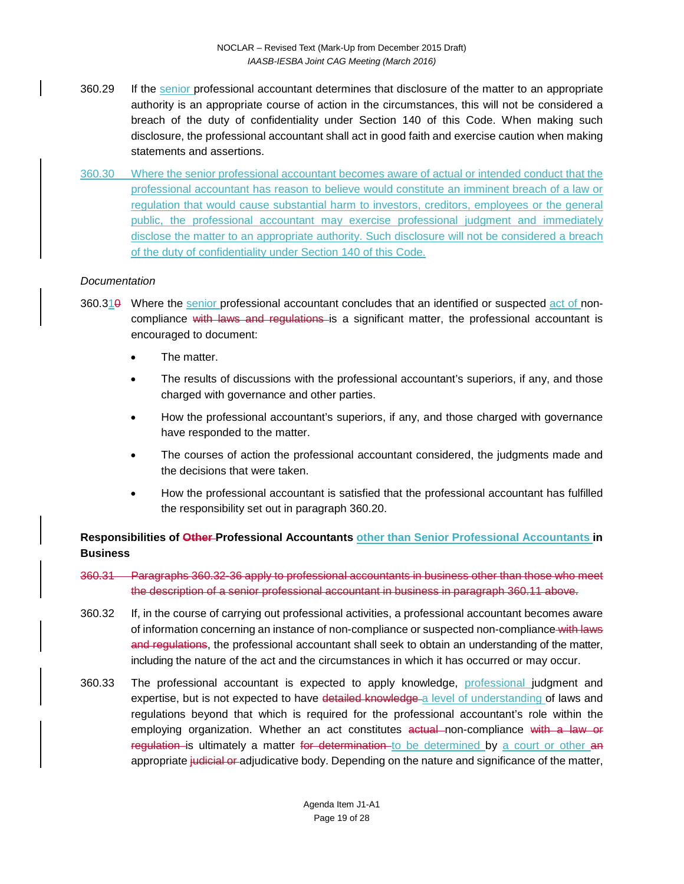- 360.29 If the senior professional accountant determines that disclosure of the matter to an appropriate authority is an appropriate course of action in the circumstances, this will not be considered a breach of the duty of confidentiality under Section 140 of this Code. When making such disclosure, the professional accountant shall act in good faith and exercise caution when making statements and assertions.
- 360.30 Where the senior professional accountant becomes aware of actual or intended conduct that the professional accountant has reason to believe would constitute an imminent breach of a law or regulation that would cause substantial harm to investors, creditors, employees or the general public, the professional accountant may exercise professional judgment and immediately disclose the matter to an appropriate authority. Such disclosure will not be considered a breach of the duty of confidentiality under Section 140 of this Code.

### *Documentation*

- 360.310 Where the senior professional accountant concludes that an identified or suspected act of noncompliance with laws and regulations is a significant matter, the professional accountant is encouraged to document:
	- The matter.
	- The results of discussions with the professional accountant's superiors, if any, and those charged with governance and other parties.
	- How the professional accountant's superiors, if any, and those charged with governance have responded to the matter.
	- The courses of action the professional accountant considered, the judgments made and the decisions that were taken.
	- How the professional accountant is satisfied that the professional accountant has fulfilled the responsibility set out in paragraph 360.20.

## **Responsibilities of Other Professional Accountants other than Senior Professional Accountants in Business**

- 360.31 Paragraphs 360.32-36 apply to professional accountants in business other than those who meet the description of a senior professional accountant in business in paragraph 360.11 above.
- 360.32 If, in the course of carrying out professional activities, a professional accountant becomes aware of information concerning an instance of non-compliance or suspected non-compliance with laws and regulations, the professional accountant shall seek to obtain an understanding of the matter, including the nature of the act and the circumstances in which it has occurred or may occur.
- 360.33 The professional accountant is expected to apply knowledge, professional judgment and expertise, but is not expected to have detailed knowledge a level of understanding of laws and regulations beyond that which is required for the professional accountant's role within the employing organization. Whether an act constitutes actual non-compliance with a law or regulation is ultimately a matter for determination to be determined by a court or other an appropriate judicial or adjudicative body. Depending on the nature and significance of the matter,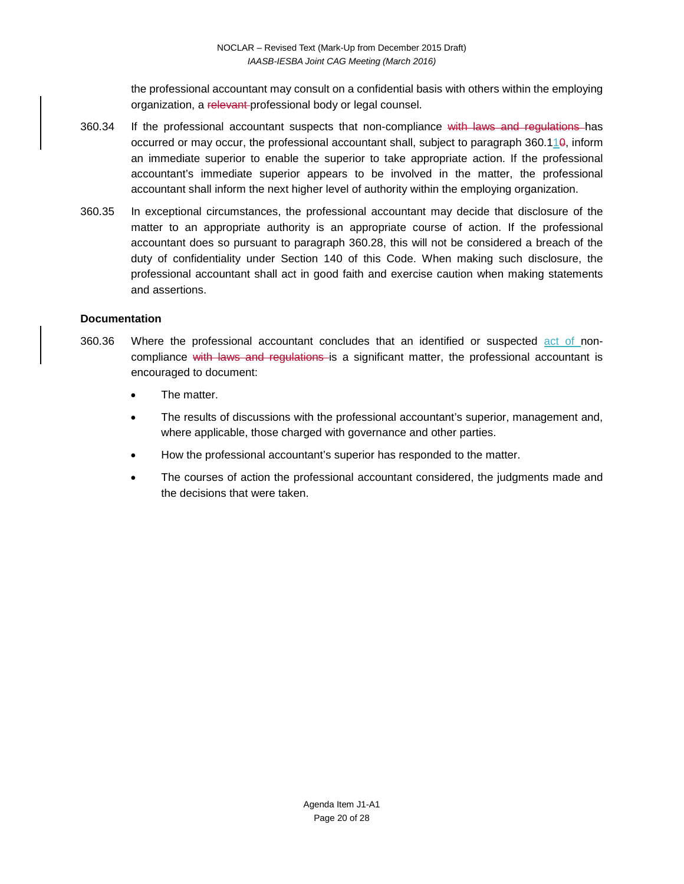the professional accountant may consult on a confidential basis with others within the employing organization, a relevant-professional body or legal counsel.

- 360.34 If the professional accountant suspects that non-compliance with laws and regulations has occurred or may occur, the professional accountant shall, subject to paragraph 360.110, inform an immediate superior to enable the superior to take appropriate action. If the professional accountant's immediate superior appears to be involved in the matter, the professional accountant shall inform the next higher level of authority within the employing organization.
- 360.35 In exceptional circumstances, the professional accountant may decide that disclosure of the matter to an appropriate authority is an appropriate course of action. If the professional accountant does so pursuant to paragraph 360.28, this will not be considered a breach of the duty of confidentiality under Section 140 of this Code. When making such disclosure, the professional accountant shall act in good faith and exercise caution when making statements and assertions.

## **Documentation**

- 360.36 Where the professional accountant concludes that an identified or suspected act of noncompliance with laws and regulations is a significant matter, the professional accountant is encouraged to document:
	- The matter.
	- The results of discussions with the professional accountant's superior, management and, where applicable, those charged with governance and other parties.
	- How the professional accountant's superior has responded to the matter.
	- The courses of action the professional accountant considered, the judgments made and the decisions that were taken.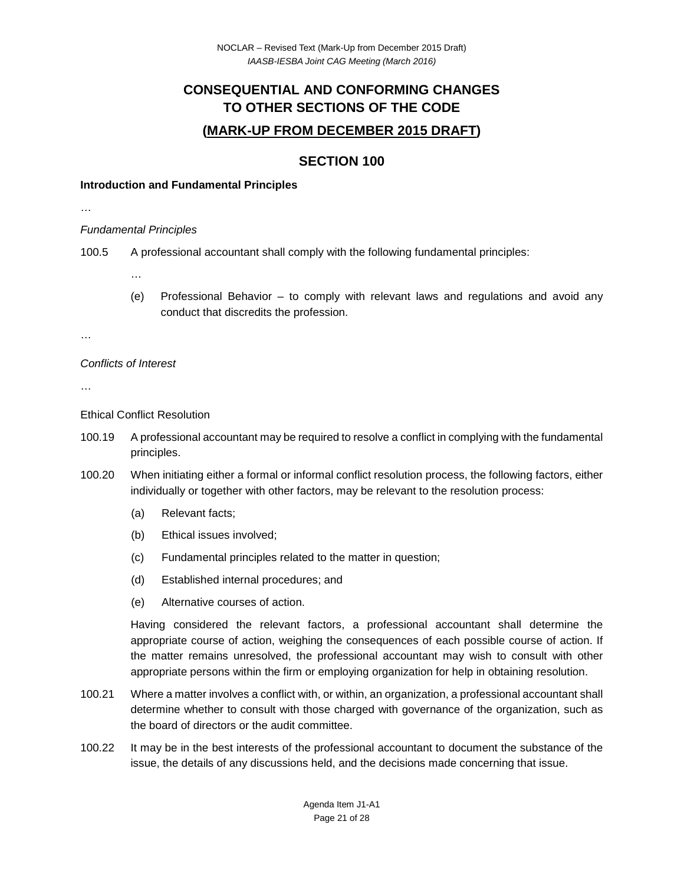# **CONSEQUENTIAL AND CONFORMING CHANGES TO OTHER SECTIONS OF THE CODE**

# **(MARK-UP FROM DECEMBER 2015 DRAFT)**

# **SECTION 100**

## **Introduction and Fundamental Principles**

…

*Fundamental Principles*

100.5 A professional accountant shall comply with the following fundamental principles:

…

(e) Professional Behavior – to comply with relevant laws and regulations and avoid any conduct that discredits the profession.

…

*Conflicts of Interest*

…

Ethical Conflict Resolution

- 100.19 A professional accountant may be required to resolve a conflict in complying with the fundamental principles.
- 100.20 When initiating either a formal or informal conflict resolution process, the following factors, either individually or together with other factors, may be relevant to the resolution process:
	- (a) Relevant facts;
	- (b) Ethical issues involved;
	- (c) Fundamental principles related to the matter in question;
	- (d) Established internal procedures; and
	- (e) Alternative courses of action.

Having considered the relevant factors, a professional accountant shall determine the appropriate course of action, weighing the consequences of each possible course of action. If the matter remains unresolved, the professional accountant may wish to consult with other appropriate persons within the firm or employing organization for help in obtaining resolution.

- 100.21 Where a matter involves a conflict with, or within, an organization, a professional accountant shall determine whether to consult with those charged with governance of the organization, such as the board of directors or the audit committee.
- 100.22 It may be in the best interests of the professional accountant to document the substance of the issue, the details of any discussions held, and the decisions made concerning that issue.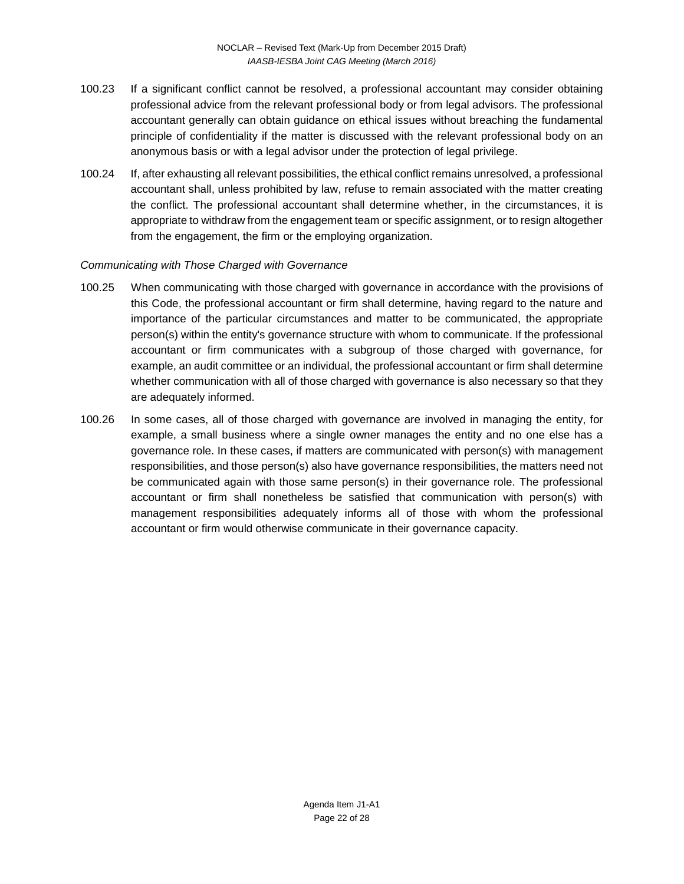- 100.23 If a significant conflict cannot be resolved, a professional accountant may consider obtaining professional advice from the relevant professional body or from legal advisors. The professional accountant generally can obtain guidance on ethical issues without breaching the fundamental principle of confidentiality if the matter is discussed with the relevant professional body on an anonymous basis or with a legal advisor under the protection of legal privilege.
- 100.24 If, after exhausting all relevant possibilities, the ethical conflict remains unresolved, a professional accountant shall, unless prohibited by law, refuse to remain associated with the matter creating the conflict. The professional accountant shall determine whether, in the circumstances, it is appropriate to withdraw from the engagement team or specific assignment, or to resign altogether from the engagement, the firm or the employing organization.

#### *Communicating with Those Charged with Governance*

- 100.25 When communicating with those charged with governance in accordance with the provisions of this Code, the professional accountant or firm shall determine, having regard to the nature and importance of the particular circumstances and matter to be communicated, the appropriate person(s) within the entity's governance structure with whom to communicate. If the professional accountant or firm communicates with a subgroup of those charged with governance, for example, an audit committee or an individual, the professional accountant or firm shall determine whether communication with all of those charged with governance is also necessary so that they are adequately informed.
- 100.26 In some cases, all of those charged with governance are involved in managing the entity, for example, a small business where a single owner manages the entity and no one else has a governance role. In these cases, if matters are communicated with person(s) with management responsibilities, and those person(s) also have governance responsibilities, the matters need not be communicated again with those same person(s) in their governance role. The professional accountant or firm shall nonetheless be satisfied that communication with person(s) with management responsibilities adequately informs all of those with whom the professional accountant or firm would otherwise communicate in their governance capacity.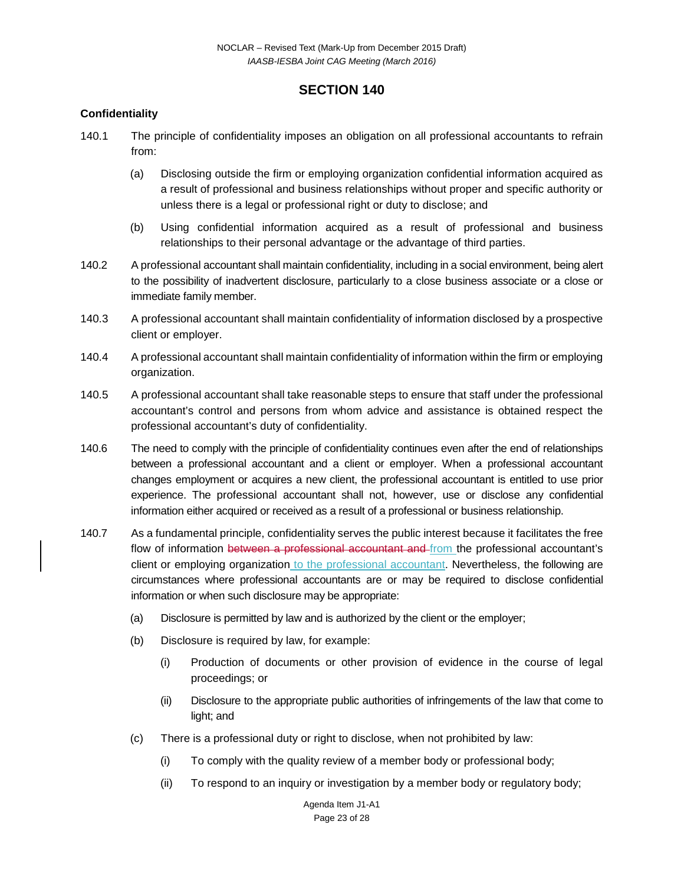# **SECTION 140**

## **Confidentiality**

- 140.1 The principle of confidentiality imposes an obligation on all professional accountants to refrain from:
	- (a) Disclosing outside the firm or employing organization confidential information acquired as a result of professional and business relationships without proper and specific authority or unless there is a legal or professional right or duty to disclose; and
	- (b) Using confidential information acquired as a result of professional and business relationships to their personal advantage or the advantage of third parties.
- 140.2 A professional accountant shall maintain confidentiality, including in a social environment, being alert to the possibility of inadvertent disclosure, particularly to a close business associate or a close or immediate family member.
- 140.3 A professional accountant shall maintain confidentiality of information disclosed by a prospective client or employer.
- 140.4 A professional accountant shall maintain confidentiality of information within the firm or employing organization.
- 140.5 A professional accountant shall take reasonable steps to ensure that staff under the professional accountant's control and persons from whom advice and assistance is obtained respect the professional accountant's duty of confidentiality.
- 140.6 The need to comply with the principle of confidentiality continues even after the end of relationships between a professional accountant and a client or employer. When a professional accountant changes employment or acquires a new client, the professional accountant is entitled to use prior experience. The professional accountant shall not, however, use or disclose any confidential information either acquired or received as a result of a professional or business relationship.
- 140.7 As a fundamental principle, confidentiality serves the public interest because it facilitates the free flow of information between a professional accountant and from the professional accountant's client or employing organization to the professional accountant. Nevertheless, the following are circumstances where professional accountants are or may be required to disclose confidential information or when such disclosure may be appropriate:
	- (a) Disclosure is permitted by law and is authorized by the client or the employer;
	- (b) Disclosure is required by law, for example:
		- (i) Production of documents or other provision of evidence in the course of legal proceedings; or
		- (ii) Disclosure to the appropriate public authorities of infringements of the law that come to light; and
	- (c) There is a professional duty or right to disclose, when not prohibited by law:
		- (i) To comply with the quality review of a member body or professional body;
		- (ii) To respond to an inquiry or investigation by a member body or regulatory body;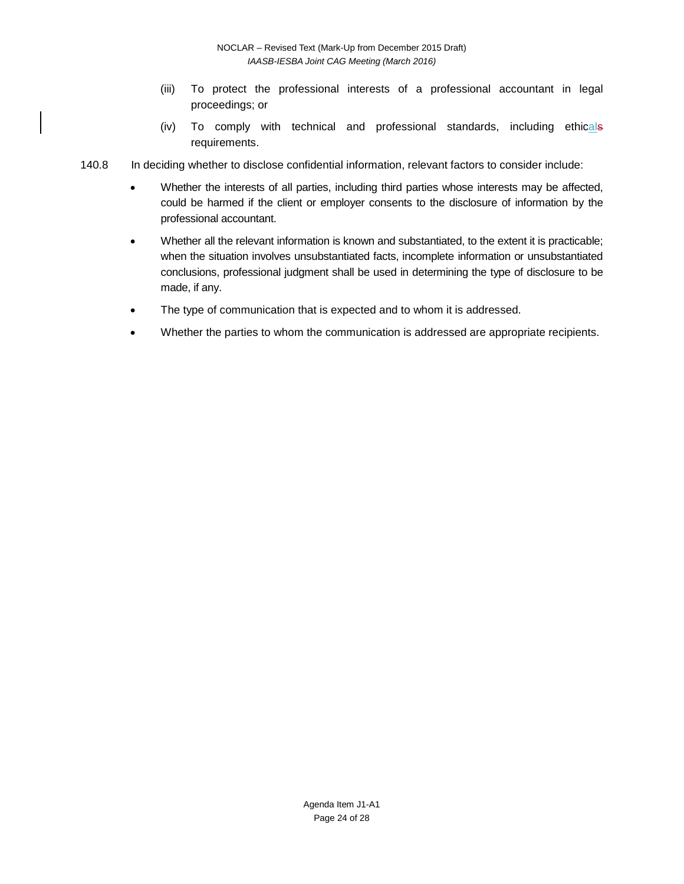- (iii) To protect the professional interests of a professional accountant in legal proceedings; or
- (iv) To comply with technical and professional standards, including ethicals requirements.
- 140.8 In deciding whether to disclose confidential information, relevant factors to consider include:
	- Whether the interests of all parties, including third parties whose interests may be affected, could be harmed if the client or employer consents to the disclosure of information by the professional accountant.
	- Whether all the relevant information is known and substantiated, to the extent it is practicable; when the situation involves unsubstantiated facts, incomplete information or unsubstantiated conclusions, professional judgment shall be used in determining the type of disclosure to be made, if any.
	- The type of communication that is expected and to whom it is addressed.
	- Whether the parties to whom the communication is addressed are appropriate recipients.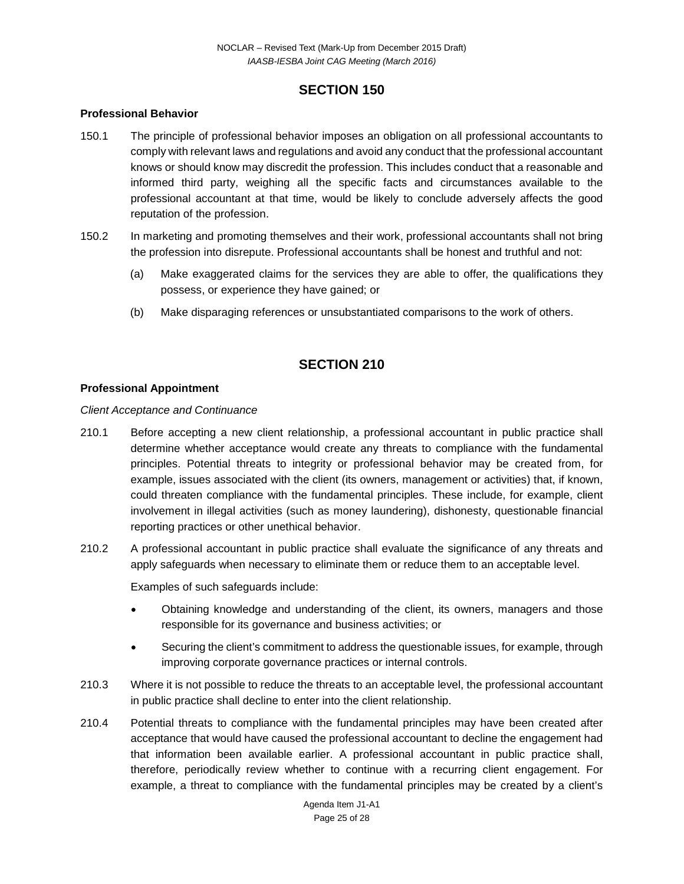# **SECTION 150**

### **Professional Behavior**

- 150.1 The principle of professional behavior imposes an obligation on all professional accountants to comply with relevant laws and regulations and avoid any conduct that the professional accountant knows or should know may discredit the profession. This includes conduct that a reasonable and informed third party, weighing all the specific facts and circumstances available to the professional accountant at that time, would be likely to conclude adversely affects the good reputation of the profession.
- 150.2 In marketing and promoting themselves and their work, professional accountants shall not bring the profession into disrepute. Professional accountants shall be honest and truthful and not:
	- (a) Make exaggerated claims for the services they are able to offer, the qualifications they possess, or experience they have gained; or
	- (b) Make disparaging references or unsubstantiated comparisons to the work of others.

# **SECTION 210**

### **Professional Appointment**

#### *Client Acceptance and Continuance*

- 210.1 Before accepting a new client relationship, a professional accountant in public practice shall determine whether acceptance would create any threats to compliance with the fundamental principles. Potential threats to integrity or professional behavior may be created from, for example, issues associated with the client (its owners, management or activities) that, if known, could threaten compliance with the fundamental principles. These include, for example, client involvement in illegal activities (such as money laundering), dishonesty, questionable financial reporting practices or other unethical behavior.
- 210.2 A professional accountant in public practice shall evaluate the significance of any threats and apply safeguards when necessary to eliminate them or reduce them to an acceptable level.

Examples of such safeguards include:

- Obtaining knowledge and understanding of the client, its owners, managers and those responsible for its governance and business activities; or
- Securing the client's commitment to address the questionable issues, for example, through improving corporate governance practices or internal controls.
- 210.3 Where it is not possible to reduce the threats to an acceptable level, the professional accountant in public practice shall decline to enter into the client relationship.
- 210.4 Potential threats to compliance with the fundamental principles may have been created after acceptance that would have caused the professional accountant to decline the engagement had that information been available earlier. A professional accountant in public practice shall, therefore, periodically review whether to continue with a recurring client engagement. For example, a threat to compliance with the fundamental principles may be created by a client's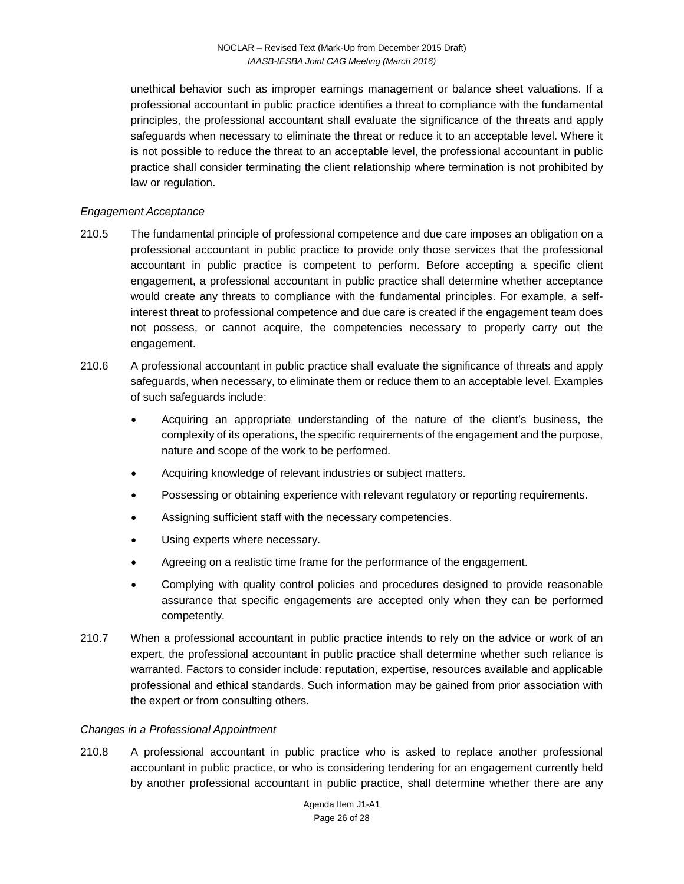unethical behavior such as improper earnings management or balance sheet valuations. If a professional accountant in public practice identifies a threat to compliance with the fundamental principles, the professional accountant shall evaluate the significance of the threats and apply safeguards when necessary to eliminate the threat or reduce it to an acceptable level. Where it is not possible to reduce the threat to an acceptable level, the professional accountant in public practice shall consider terminating the client relationship where termination is not prohibited by law or regulation.

## *Engagement Acceptance*

- 210.5 The fundamental principle of professional competence and due care imposes an obligation on a professional accountant in public practice to provide only those services that the professional accountant in public practice is competent to perform. Before accepting a specific client engagement, a professional accountant in public practice shall determine whether acceptance would create any threats to compliance with the fundamental principles. For example, a selfinterest threat to professional competence and due care is created if the engagement team does not possess, or cannot acquire, the competencies necessary to properly carry out the engagement.
- 210.6 A professional accountant in public practice shall evaluate the significance of threats and apply safeguards, when necessary, to eliminate them or reduce them to an acceptable level. Examples of such safeguards include:
	- Acquiring an appropriate understanding of the nature of the client's business, the complexity of its operations, the specific requirements of the engagement and the purpose, nature and scope of the work to be performed.
	- Acquiring knowledge of relevant industries or subject matters.
	- Possessing or obtaining experience with relevant regulatory or reporting requirements.
	- Assigning sufficient staff with the necessary competencies.
	- Using experts where necessary.
	- Agreeing on a realistic time frame for the performance of the engagement.
	- Complying with quality control policies and procedures designed to provide reasonable assurance that specific engagements are accepted only when they can be performed competently.
- 210.7 When a professional accountant in public practice intends to rely on the advice or work of an expert, the professional accountant in public practice shall determine whether such reliance is warranted. Factors to consider include: reputation, expertise, resources available and applicable professional and ethical standards. Such information may be gained from prior association with the expert or from consulting others.

### *Changes in a Professional Appointment*

210.8 A professional accountant in public practice who is asked to replace another professional accountant in public practice, or who is considering tendering for an engagement currently held by another professional accountant in public practice, shall determine whether there are any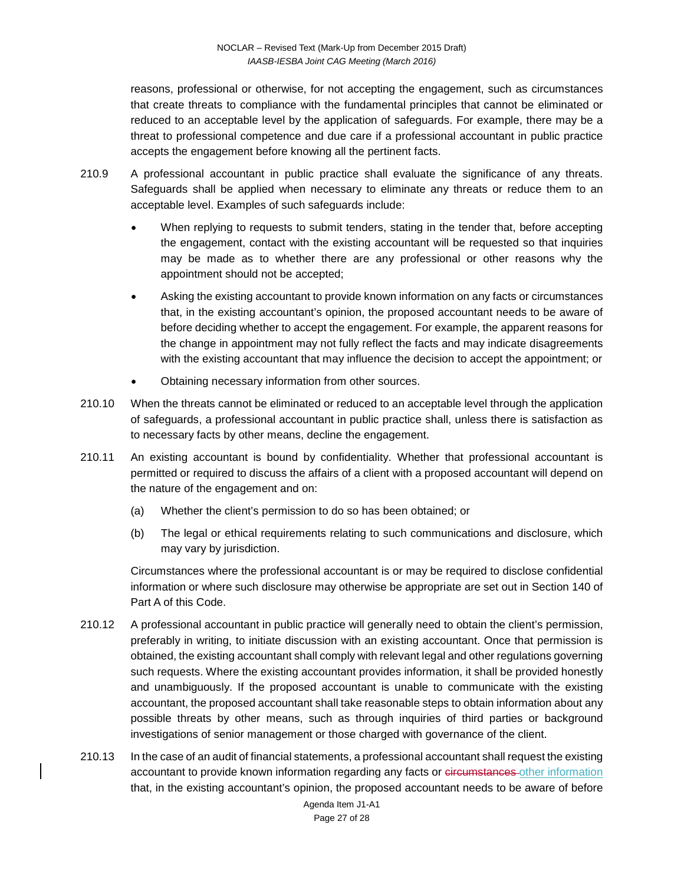reasons, professional or otherwise, for not accepting the engagement, such as circumstances that create threats to compliance with the fundamental principles that cannot be eliminated or reduced to an acceptable level by the application of safeguards. For example, there may be a threat to professional competence and due care if a professional accountant in public practice accepts the engagement before knowing all the pertinent facts.

- 210.9 A professional accountant in public practice shall evaluate the significance of any threats. Safeguards shall be applied when necessary to eliminate any threats or reduce them to an acceptable level. Examples of such safeguards include:
	- When replying to requests to submit tenders, stating in the tender that, before accepting the engagement, contact with the existing accountant will be requested so that inquiries may be made as to whether there are any professional or other reasons why the appointment should not be accepted;
	- Asking the existing accountant to provide known information on any facts or circumstances that, in the existing accountant's opinion, the proposed accountant needs to be aware of before deciding whether to accept the engagement. For example, the apparent reasons for the change in appointment may not fully reflect the facts and may indicate disagreements with the existing accountant that may influence the decision to accept the appointment; or
	- Obtaining necessary information from other sources.
- 210.10 When the threats cannot be eliminated or reduced to an acceptable level through the application of safeguards, a professional accountant in public practice shall, unless there is satisfaction as to necessary facts by other means, decline the engagement.
- 210.11 An existing accountant is bound by confidentiality. Whether that professional accountant is permitted or required to discuss the affairs of a client with a proposed accountant will depend on the nature of the engagement and on:
	- (a) Whether the client's permission to do so has been obtained; or
	- (b) The legal or ethical requirements relating to such communications and disclosure, which may vary by jurisdiction.

Circumstances where the professional accountant is or may be required to disclose confidential information or where such disclosure may otherwise be appropriate are set out in Section 140 of Part A of this Code.

- 210.12 A professional accountant in public practice will generally need to obtain the client's permission, preferably in writing, to initiate discussion with an existing accountant. Once that permission is obtained, the existing accountant shall comply with relevant legal and other regulations governing such requests. Where the existing accountant provides information, it shall be provided honestly and unambiguously. If the proposed accountant is unable to communicate with the existing accountant, the proposed accountant shall take reasonable steps to obtain information about any possible threats by other means, such as through inquiries of third parties or background investigations of senior management or those charged with governance of the client.
- 210.13 In the case of an audit of financial statements, a professional accountant shall request the existing accountant to provide known information regarding any facts or eircumstances other information that, in the existing accountant's opinion, the proposed accountant needs to be aware of before